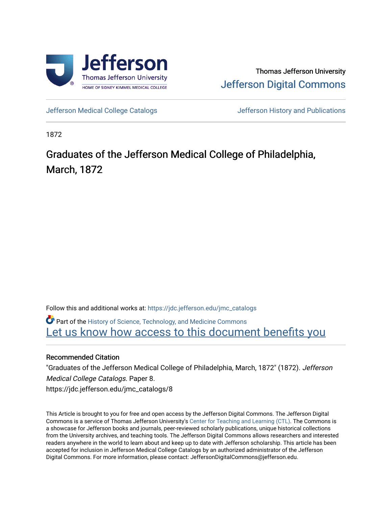

Thomas Jefferson University [Jefferson Digital Commons](https://jdc.jefferson.edu/) 

[Jefferson Medical College Catalogs](https://jdc.jefferson.edu/jmc_catalogs) [Jefferson History and Publications](https://jdc.jefferson.edu/jeffersonhistory) 

1872

# Graduates of the Jefferson Medical College of Philadelphia, March, 1872

Follow this and additional works at: [https://jdc.jefferson.edu/jmc\\_catalogs](https://jdc.jefferson.edu/jmc_catalogs?utm_source=jdc.jefferson.edu%2Fjmc_catalogs%2F8&utm_medium=PDF&utm_campaign=PDFCoverPages) 

Part of the [History of Science, Technology, and Medicine Commons](http://network.bepress.com/hgg/discipline/500?utm_source=jdc.jefferson.edu%2Fjmc_catalogs%2F8&utm_medium=PDF&utm_campaign=PDFCoverPages)  Let us know how access to this document benefits you

### Recommended Citation

"Graduates of the Jefferson Medical College of Philadelphia, March, 1872" (1872). Jefferson Medical College Catalogs. Paper 8. https://jdc.jefferson.edu/jmc\_catalogs/8

This Article is brought to you for free and open access by the Jefferson Digital Commons. The Jefferson Digital Commons is a service of Thomas Jefferson University's [Center for Teaching and Learning \(CTL\)](http://www.jefferson.edu/university/teaching-learning.html/). The Commons is a showcase for Jefferson books and journals, peer-reviewed scholarly publications, unique historical collections from the University archives, and teaching tools. The Jefferson Digital Commons allows researchers and interested readers anywhere in the world to learn about and keep up to date with Jefferson scholarship. This article has been accepted for inclusion in Jefferson Medical College Catalogs by an authorized administrator of the Jefferson Digital Commons. For more information, please contact: JeffersonDigitalCommons@jefferson.edu.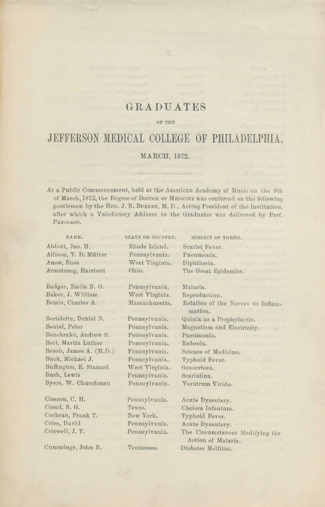### GRADUATES

#### OF THE

## JEFFERSON MEDICAL COLLEGE OF PHILADELPHIA,

#### MARCH, 1872.

At a Public Commencement, held at the American Academy of Music on the 9th of March, 1872, the Degree of Doctor OF MEDICINE was conferred on the following gentlemen by the Hon. J. R. BURDEN, M. D., Acting President of the Institution. after which a Valedictory Address to the Graduates was delivered by Prof. PANCOAST.

| NAME.                  | STATE OR COUNTRY. | SUBJECT OF THESIS.                |
|------------------------|-------------------|-----------------------------------|
| Abbott, Jno. H.        | Rhode Island.     | Scarlet Fever.                    |
| Allison, T. D. Mütter  | Pennsylvania.     | Pneumonia.                        |
| Amos, Enos             | West Virginia.    | Diphtheria.                       |
| Armstrong, Harrison    | Ohio.             | The Great Epidemics.              |
|                        |                   |                                   |
| Badger, Emile B. G.    | Pennsylvania.     | Malaria.                          |
| Baker, J. William      | West Virginia.    | Reproduction.                     |
| Bemis, Charles A.      | Massachusetts.    | Relation of the Nerves to Inflam- |
|                        |                   | mation.                           |
| Bertolette, Daniel N.  | Pennsylvania.     | Quinia as a Prophylactic.         |
| Beutel, Peter          | Pennsylvania.     | Magnetism and Electricity.        |
| Bonebrake, Andrew S.   | Pennsylvania.     | Pueumonia.                        |
| Bott, Martin Luther    | Pennsylvania.     | Rubeola.                          |
| Brush, James A. (M.D.) | Pennsylvania.     | Science of Medicine.              |
| Buck, Michael J.       | Pennsylvania.     | Typhoid Fever.                    |
| Buffington, E. Stanard | West Virginia.    | Gonorrhœa.                        |
| Bush, Lewis            | Pennsylvania.     | Scarlatina.                       |
| Byers, W. Churchman    | Pennsylvania.     | Veratrum Viride.                  |
| Closson, C. H.         | Pennsylvania.     | Acute Dysentery.                  |
| Cloud, S. G.           | Texas.            | Cholera Infantum.                 |
| Cochran, Frank T.      | New York.         | Typhoid Fever.                    |
| Crise, David           | Pennsylvania.     | Acute Dysentery.                  |
| Criswell, J. T.        | Pennsylvania.     | The Circumstances Modifying the   |
|                        |                   | Action of Malaria.                |
| Cummings, John B.      | Tennessee.        | Diabetes Mellitus.                |
|                        |                   |                                   |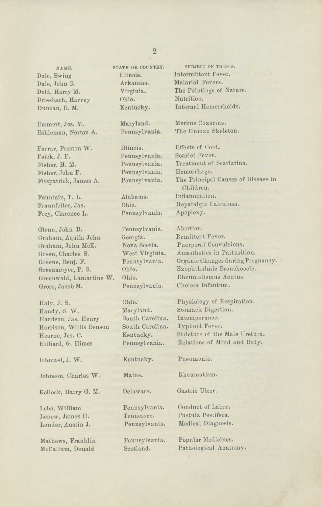NAME. Dale, Ewing Dale, John R. Dold, Harry M. Driesbach, Harvey Duncan, E. M.

Emmert, Jos. M. Eshleman, Norton A.

Farrar, Preston W. Feick, J. F. Fisher, H. M. Fisher, John F. Fitzpatrick, James A.

Fountain, T. L. Fraunfelter, Jas. Frey, Clarence L.

Glenn, John B. Graham, Aquila John Graham, John McK. Green, Charles S. Greene, Benj. F. Greenamyer, P. S. Greenwald, Lamartine W. Gross, Jacob M.

Haly, J. S. Handy, S. W. Harrison, Jas. Henry Harrison, Willis Benson Hearne, Jos. C. Hilliard, G. Himes

Ishmael, J. W.

Johnson, Charles W.

Kollock, Harry G. M.

Lebo, William Lenow, James H. Louder, Austin J.

Mathews, Franklin McCallum, Donald

STATE OR COUNTRY. Illinois. Arkansas. Virginia. Ohio. Kentucky.

Illinois. Effects of Cold. Pennsylvania. Scarlet Fever. Pennsylvania. Hemorrhage.

Pennsylvania. Apoplexy.

Pennsylvania. Georgia. Nova Scotia. West Virginia. Pennsylvania. Ohio. Ohio. Pennsylvania.

Ohio: Maryland. South Carolina. South Carolina. Kentucky. Pennsylvania.

Kentucky.

Maine.

Delaware.

Pennsylvania. Tennessee. Pennsylvania.

Pennsylvania. Scotland.

SUBJECT OF THESTS. Intermittent Fever. Malarial Fevers. The Pointings of Nature. Nutrition. Internal Hemorrhoids.

Maryland. Morbus Coxarins. Pennsylvania. The Human Skeleton.

Pennsylvania. Treatment of Scarlatina. Pennsylvania. The Principal Causes of Disease in Children. Alabama. Inflammation. Ohio. Hepatalgia Calculosa.

> Abortion. Remittent Fever. Puerperal Convulsions. Anaesthetics in Parturition. Organic Changes during Pregnancy. Exophthalmic Bronchocele. Rheumatismus Acntus. Cholera Infantum.

Physiology of Respiration. Stomach Digestion. Intemperance. Typhoid Fever. Stricture of the Male Urethra. Relations of Mind and Body.

Pneumonia.

Rheumatism.

Gastric Ulcer.

Conduct of Labor. Pustula Pestifera. Medical Diagnosis.

Popular Medicines. Pathological Anatomy.

#### 2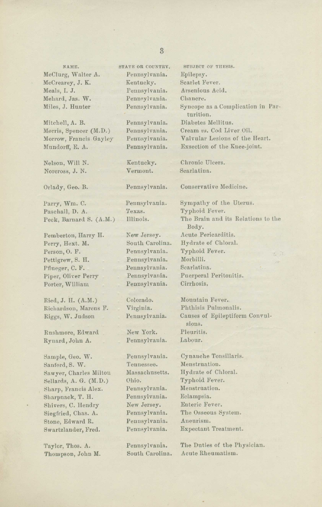NAME. STATE OR COUNTRY. SUBJECT OF THESIS. McClurg, Walter A. Pennsylvania. Epilepsy. McCrearey, J. K. Kentucky. Scarlet Fever. Meals, I. J. Pennsylvania. Arsenious Acid. Mehard, Jas. W. Pennsylvania. Chancre.

Morris, Spencer (M.D.) Pennsylvania. Cream *vs.* Cod Liver Oil.

Nelson, Will N. Kentucky. Chronic Ulcers. Norcross, J. N. Vermont. Scarlatina.

Paschall, D. A. Texas.

Perry, Hext. M. South Carolina. Hydrate of Chloral. Person, O. F. Pennsylvania. Typhoid Fever.<br>Pettigrew. S. H. Pennsylvania. Morbilli. Pettigrew, S. H. Pflueger, C. F. Pennsylvania. Scarlatina. Porter, William Pennsylvania. Cirrhosis.

Ried, J. H. (A.M.) Colorado. Mountain Fever. Richardson, Marcus F. Virginia. Phthisis Pulmonalis.

Rushmore, Edward New York. Pleuritis.<br>Rynard John A. Pennsylvania. Labour. Rynard, John A. Pennsylvania.

Sample, Geo. W. Pennsylvania. Cynanche Tousillaris. Sanford, S. W. Tennessee. Menstruation.<br>Sawver, Charles Milton Massachusetts. Hydrate of Chloral. Sawyer, Charles Milton Sellards, A. G. (M.D.) Ohio. Typhoid Fever.<br>Sharp. Francis Alex. Pennsylvania. Menstruation. Sharp, Francis Alex. Pennsylvania. Menstruation.<br>Sharpnack. T. H. Pennsylvania. Eclampsia. Sharpnack, T. H. Pennsylvania. Shivers, C. Hendry New Jersey. Enteric Fever. Siegfried, Chas. A. Pennsylvania. The Osseous System. Stone, Edward R. Pennsylvania. Aneurism. Swartzlander, Fred. Pennsylvania. Expectant Treatment.

Miles, J. Hunter Pennsylvania. Syncope as a Complication in Parturition. Mitchell, A. B. Pennsylvania. Diabetes Mellitus. Morrow, Francis Gayley Pennsylvania. Valvular Lesions of the Heart. Mundorff, E. A. Pennsylvania. Exsection of the Knee-joint.

Orlady, Geo. B. Pennsylvania. Conservative Medicine.

Parry, Wm. C. Pennsylvania. Sympathy of the Uterus.<br>Paschall, D. A. Texas. Typhoid Fever. Peck, Barnard S. (A.M.) Illinois. The Brain and its Relations to the Body. Pemberton, Harry H. New Jersey. Acute Pericarditis. Piper, Oliver Perry Pennsylvania. Puerperal Peritonitis.

Riggs, W. Judson Pennsylvania. Causes of Epileptiform Convulsions.

Taylor, Thos. A. Pennsylvania. The Duties of the Physician. Thompson, John M. South Carolina. Acute Rheumatism.